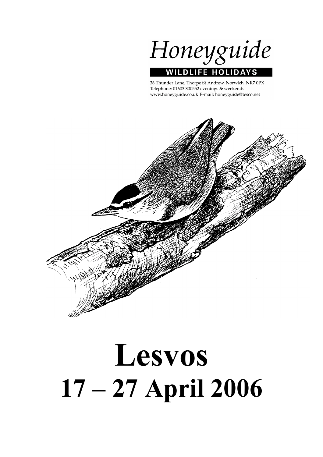Honeyguide **WILDLIFE HOLIDAYS** 

36 Thunder Lane, Thorpe St Andrew, Norwich NR7 0PX Telephone: 01603 300552 evenings & weekends www.honeyguide.co.uk E-mail: honeyguide@tesco.net



# Lesvos 17 – 27 April 2006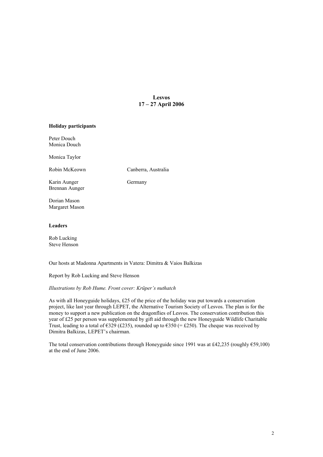# Lesvos 17 – 27 April 2006

# Holiday participants

Peter Douch Monica Douch

Monica Taylor

Robin McKeown Canberra, Australia

Karin Aunger Germany Brennan Aunger

Dorian Mason Margaret Mason

# Leaders

Rob Lucking Steve Henson

Our hosts at Madonna Apartments in Vatera: Dimitra & Vaios Balkizas

Report by Rob Lucking and Steve Henson

*Illustrations by Rob Hume. Front cover: Krüper's nuthatch*

As with all Honeyguide holidays, £25 of the price of the holiday was put towards a conservation project, like last year through LEPET, the Alternative Tourism Society of Lesvos. The plan is for the money to support a new publication on the dragonflies of Lesvos. The conservation contribution this year of £25 per person was supplemented by gift aid through the new Honeyguide Wildlife Charitable Trust, leading to a total of  $\epsilon$ 329 (£235), rounded up to  $\epsilon$ 350 (= £250). The cheque was received by Dimitra Balkizas, LEPET's chairman.

The total conservation contributions through Honeyguide since 1991 was at £42,235 (roughly  $659,100$ ) at the end of June 2006.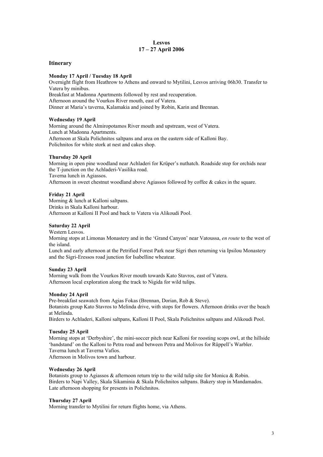# Lesvos 17 – 27 April 2006

# Itinerary

# Monday 17 April / Tuesday 18 April

Overnight flight from Heathrow to Athens and onward to Mytilini, Lesvos arriving 06h30. Transfer to Vatera by minibus. Breakfast at Madonna Apartments followed by rest and recuperation. Afternoon around the Vourkos River mouth, east of Vatera. Dinner at Maria's taverna, Kalamakia and joined by Robin, Karin and Brennan.

# Wednesday 19 April

Morning around the Almiropotamos River mouth and upstream, west of Vatera. Lunch at Madonna Apartments. Afternoon at Skala Polichnitos saltpans and area on the eastern side of Kalloni Bay. Polichnitos for white stork at nest and cakes shop.

# Thursday 20 April

Morning in open pine woodland near Achladeri for Krüper's nuthatch. Roadside stop for orchids near the T-junction on the Achladeri-Vasilika road. Taverna lunch in Agiassos. Afternoon in sweet chestnut woodland above Agiassos followed by coffee & cakes in the square.

# Friday 21 April

Morning & lunch at Kalloni saltpans. Drinks in Skala Kalloni harbour. Afternoon at Kalloni II Pool and back to Vatera via Alikoudi Pool.

# Saturday 22 April

Western Lesvos.

Morning stops at Limonas Monastery and in the 'Grand Canyon' near Vatoussa, *en route* to the west of the island.

Lunch and early afternoon at the Petrified Forest Park near Sigri then returning via Ipsilou Monastery and the Sigri-Eressos road junction for Isabelline wheatear.

# Sunday 23 April

Morning walk from the Vourkos River mouth towards Kato Stavros, east of Vatera. Afternoon local exploration along the track to Nigida for wild tulips.

# Monday 24 April

Pre-breakfast seawatch from Agias Fokas (Brennan, Dorian, Rob & Steve). Botanists group Kato Stavros to Melinda drive, with stops for flowers. Afternoon drinks over the beach at Melinda.

Birders to Achladeri, Kalloni saltpans, Kalloni II Pool, Skala Polichnitos saltpans and Alikoudi Pool.

# Tuesday 25 April

Morning stops at 'Derbyshire', the mini-soccer pitch near Kalloni for roosting scops owl, at the hillside 'bandstand' on the Kalloni to Petra road and between Petra and Molivos for Rüppell's Warbler. Taverna lunch at Taverna Vafios. Afternoon in Molivos town and harbour.

# Wednesday 26 April

Botanists group to Agiassos & afternoon return trip to the wild tulip site for Monica & Robin. Birders to Napi Valley, Skala Sikaminia & Skala Polichnitos saltpans. Bakery stop in Mandamados. Late afternoon shopping for presents in Polichnitos.

# Thursday 27 April

Morning transfer to Mytilini for return flights home, via Athens.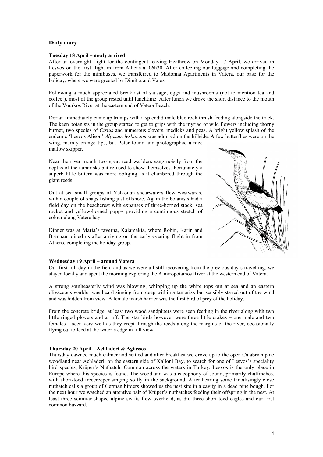# Daily diary

# Tuesday 18 April – newly arrived

After an overnight flight for the contingent leaving Heathrow on Monday 17 April, we arrived in Lesvos on the first flight in from Athens at 06h30. After collecting our luggage and completing the paperwork for the minibuses, we transferred to Madonna Apartments in Vatera, our base for the holiday, where we were greeted by Dimitra and Vaios.

Following a much appreciated breakfast of sausage, eggs and mushrooms (not to mention tea and coffee!), most of the group rested until lunchtime. After lunch we drove the short distance to the mouth of the Vourkos River at the eastern end of Vatera Beach.

Dorian immediately came up trumps with a splendid male blue rock thrush feeding alongside the track. The keen botanists in the group started to get to grips with the myriad of wild flowers including thorny burnet, two species of *Cistus* and numerous clovers, medicks and peas. A bright yellow splash of the endemic 'Lesvos Alison' *Alyssum lesbiacum* was admired on the hillside. A few butterflies were on the wing, mainly orange tips, but Peter found and photographed a nice mallow skipper.

Near the river mouth two great reed warblers sang noisily from the depths of the tamarisks but refused to show themselves. Fortunately a superb little bittern was more obliging as it clambered through the giant reeds.

Out at sea small groups of Yelkouan shearwaters flew westwards, with a couple of shags fishing just offshore. Again the botanists had a field day on the beachcrest with expanses of three-horned stock, sea rocket and yellow-horned poppy providing a continuous stretch of colour along Vatera bay.

Dinner was at Maria's taverna, Kalamakia, where Robin, Karin and Brennan joined us after arriving on the early evening flight in from Athens, completing the holiday group.

# Wednesday 19 April – around Vatera

Our first full day in the field and as we were all still recovering from the previous day's travelling, we stayed locally and spent the morning exploring the Almiropotamos River at the western end of Vatera.

A strong southeasterly wind was blowing, whipping up the white tops out at sea and an eastern olivaceous warbler was heard singing from deep within a tamarisk but sensibly stayed out of the wind and was hidden from view. A female marsh harrier was the first bird of prey of the holiday.

From the concrete bridge, at least two wood sandpipers were seen feeding in the river along with two little ringed plovers and a ruff. The star birds however were three little crakes – one male and two females – seen very well as they crept through the reeds along the margins of the river, occasionally flying out to feed at the water's edge in full view.

# Thursday 20 April – Achladeri & Agiassos

Thursday dawned much calmer and settled and after breakfast we drove up to the open Calabrian pine woodland near Achladeri, on the eastern side of Kalloni Bay, to search for one of Lesvos's speciality bird species, Krüper's Nuthatch. Common across the waters in Turkey, Lesvos is the only place in Europe where this species is found. The woodland was a cacophony of sound, primarily chaffinches, with short-toed treecreeper singing softly in the background. After hearing some tantalisingly close nuthatch calls a group of German birders showed us the nest site in a cavity in a dead pine bough. For the next hour we watched an attentive pair of Krüper's nuthatches feeding their offspring in the nest. At least three scimitar-shaped alpine swifts flew overhead, as did three short-toed eagles and our first common buzzard.

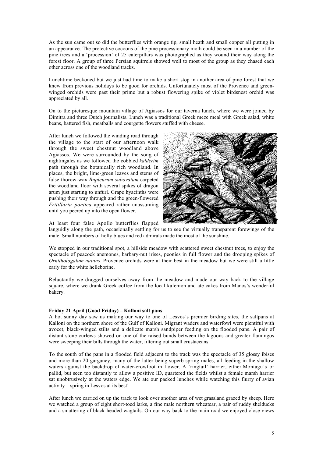As the sun came out so did the butterflies with orange tip, small heath and small copper all putting in an appearance. The protective cocoons of the pine processionary moth could be seen in a number of the pine trees and a 'procession' of 25 caterpillars was photographed as they wound their way along the forest floor. A group of three Persian squirrels showed well to most of the group as they chased each other across one of the woodland tracks.

Lunchtime beckoned but we just had time to make a short stop in another area of pine forest that we knew from previous holidays to be good for orchids. Unfortunately most of the Provence and greenwinged orchids were past their prime but a robust flowering spike of violet birdsnest orchid was appreciated by all.

On to the picturesque mountain village of Agiassos for our taverna lunch, where we were joined by Dimitra and three Dutch journalists. Lunch was a traditional Greek meze meal with Greek salad, white beans, battered fish, meatballs and courgette flowers stuffed with cheese.

After lunch we followed the winding road through the village to the start of our afternoon walk through the sweet chestnut woodland above Agiassos. We were surrounded by the song of nightingales as we followed the cobbled *kalderim* path through the botanically rich woodland. In places, the bright, lime-green leaves and stems of false thorow-wax *Bupleurum subovatum* carpeted the woodland floor with several spikes of dragon arum just starting to unfurl. Grape hyacinths were pushing their way through and the green-flowered *Fritillaria pontica* appeared rather unassuming until you peered up into the open flower.



At least four false Apollo butterflies flapped

languidly along the path, occasionally settling for us to see the virtually transparent forewings of the male. Small numbers of holly blues and red admirals made the most of the sunshine.

We stopped in our traditional spot, a hillside meadow with scattered sweet chestnut trees, to enjoy the spectacle of peacock anemones, barbary-nut irises, peonies in full flower and the drooping spikes of *Ornithologalum nutans*. Provence orchids were at their best in the meadow but we were still a little early for the white helleborine.

Reluctantly we dragged ourselves away from the meadow and made our way back to the village square, where we drank Greek coffee from the local kafenion and ate cakes from Manos's wonderful bakery.

# Friday 21 April (Good Friday) – Kalloni salt pans

A hot sunny day saw us making our way to one of Lesvos's premier birding sites, the saltpans at Kalloni on the northern shore of the Gulf of Kalloni. Migrant waders and waterfowl were plentiful with avocet, black-winged stilts and a delicate marsh sandpiper feeding on the flooded pans. A pair of distant stone curlews showed on one of the raised bunds between the lagoons and greater flamingos were sweeping their bills through the water, filtering out small crustaceans.

To the south of the pans in a flooded field adjacent to the track was the spectacle of 35 glossy ibises and more than 20 garganey, many of the latter being superb spring males, all feeding in the shallow waters against the backdrop of water-crowfoot in flower. A 'ringtail' harrier, either Montagu's or pallid, but seen too distantly to allow a positive ID, quartered the fields whilst a female marsh harrier sat unobtrusively at the waters edge. We ate our packed lunches while watching this flurry of avian activity – spring in Lesvos at its best!

After lunch we carried on up the track to look over another area of wet grassland grazed by sheep. Here we watched a group of eight short-toed larks, a fine male northern wheatear, a pair of ruddy shelducks and a smattering of black-headed wagtails. On our way back to the main road we enjoyed close views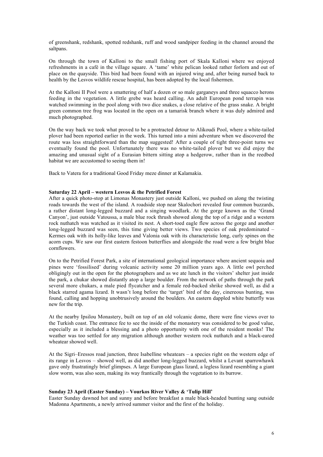of greenshank, redshank, spotted redshank, ruff and wood sandpiper feeding in the channel around the saltpans.

On through the town of Kalloni to the small fishing port of Skala Kalloni where we enjoyed refreshments in a café in the village square. A 'tame' white pelican looked rather forlorn and out of place on the quayside. This bird had been found with an injured wing and, after being nursed back to health by the Lesvos wildlife rescue hospital, has been adopted by the local fishermen.

At the Kalloni II Pool were a smattering of half a dozen or so male garganeys and three squacco herons feeding in the vegetation. A little grebe was heard calling. An adult European pond terrapin was watched swimming in the pool along with two dice snakes, a close relative of the grass snake. A bright green common tree frog was located in the open on a tamarisk branch where it was duly admired and much photographed.

On the way back we took what proved to be a protracted detour to Alikoudi Pool, where a white-tailed plover had been reported earlier in the week. This turned into a mini adventure when we discovered the route was less straightforward than the map suggested! After a couple of tight three-point turns we eventually found the pool. Unfortunately there was no white-tailed plover but we did enjoy the amazing and unusual sight of a Eurasian bittern sitting atop a hedgerow, rather than in the reedbed habitat we are accustomed to seeing them in!

Back to Vatera for a traditional Good Friday meze dinner at Kalamakia.

# Saturday 22 April – western Lesvos & the Petrified Forest

After a quick photo-stop at Limonas Monastery just outside Kalloni, we pushed on along the twisting roads towards the west of the island. A roadside stop near Skalochori revealed four common buzzards, a rather distant long-legged buzzard and a singing woodlark. At the gorge known as the 'Grand Canyon', just outside Vatoussa, a male blue rock thrush showed along the top of a ridge and a western rock nuthatch was watched as it visited its nest. A short-toed eagle flew across the gorge and another long-legged buzzard was seen, this time giving better views. Two species of oak predominated – Kermes oak with its holly-like leaves and Valonia oak with its characteristic long, curly spines on the acorn cups. We saw our first eastern festoon butterflies and alongside the road were a few bright blue cornflowers.

On to the Petrified Forest Park, a site of international geological importance where ancient sequoia and pines were 'fossilised' during volcanic activity some 20 million years ago. A little owl perched obligingly out in the open for the photographers and as we ate lunch in the visitors' shelter just inside the park, a chukar showed distantly atop a large boulder. From the network of paths through the park several more chukars, a male pied flycatcher and a female red-backed shrike showed well, as did a black starred agama lizard. It wasn't long before the 'target' bird of the day, cinereous bunting, was found, calling and hopping unobtrusively around the boulders. An eastern dappled white butterfly was new for the trip.

At the nearby Ipsilou Monastery, built on top of an old volcanic dome, there were fine views over to the Turkish coast. The entrance fee to see the inside of the monastery was considered to be good value, especially as it included a blessing and a photo opportunity with one of the resident monks! The weather was too settled for any migration although another western rock nuthatch and a black-eared wheatear showed well.

At the Sigri–Eressos road junction, three Isabelline wheatears – a species right on the western edge of its range in Lesvos – showed well, as did another long-legged buzzard, whilst a Levant sparrowhawk gave only frustratingly brief glimpses. A large European glass lizard, a legless lizard resembling a giant slow worm, was also seen, making its way frantically through the vegetation to its burrow.

# Sunday 23 April (Easter Sunday) – Vourkos River Valley & 'Tulip Hill'

Easter Sunday dawned hot and sunny and before breakfast a male black-headed bunting sang outside Madonna Apartments, a newly arrived summer visitor and the first of the holiday.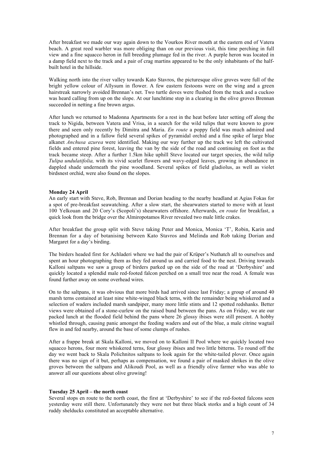After breakfast we made our way again down to the Vourkos River mouth at the eastern end of Vatera beach. A great reed warbler was more obliging than on our previous visit, this time perching in full view and a fine squacco heron in full breeding plumage fed in the river. A purple heron was located in a damp field next to the track and a pair of crag martins appeared to be the only inhabitants of the halfbuilt hotel in the hillside.

Walking north into the river valley towards Kato Stavros, the picturesque olive groves were full of the bright yellow colour of Allysum in flower. A few eastern festoons were on the wing and a green hairstreak narrowly avoided Brennan's net. Two turtle doves were flushed from the track and a cuckoo was heard calling from up on the slope. At our lunchtime stop in a clearing in the olive groves Brennan succeeded in netting a fine brown argus.

After lunch we returned to Madonna Apartments for a rest in the heat before later setting off along the track to Nigida, between Vatera and Vrisa, in a search for the wild tulips that were known to grow there and seen only recently by Dimitra and Maria. *En route* a poppy field was much admired and photographed and in a fallow field several spikes of pyramidal orchid and a fine spike of large blue alkanet *Anchusa azurea* were identified. Making our way further up the track we left the cultivated fields and entered pine forest, leaving the van by the side of the road and continuing on foot as the track became steep. After a further 1.5km hike uphill Steve located our target species, the wild tulip *Tulipa undulatifolia,* with its vivid scarlet flowers and wavy-edged leaves, growing in abundance in dappled shade underneath the pine woodland. Several spikes of field gladiolus, as well as violet birdsnest orchid, were also found on the slopes.

# Monday 24 April

An early start with Steve, Rob, Brennan and Dorian heading to the nearby headland at Agias Fokas for a spot of pre-breakfast seawatching. After a slow start, the shearwaters started to move with at least 100 Yelkouan and 20 Cory's (Scopoli's) shearwaters offshore. Afterwards, *en route* for breakfast, a quick look from the bridge over the Almiropotamos River revealed two male little crakes.

After breakfast the group split with Steve taking Peter and Monica, Monica 'T', Robin, Karin and Brennan for a day of botanising between Kato Stavros and Melinda and Rob taking Dorian and Margaret for a day's birding.

The birders headed first for Achladeri where we had the pair of Krüper's Nuthatch all to ourselves and spent an hour photographing them as they fed around us and carried food to the nest. Driving towards Kalloni saltpans we saw a group of birders parked up on the side of the road at 'Derbyshire' and quickly located a splendid male red-footed falcon perched on a small tree near the road. A female was found further away on some overhead wires.

On to the saltpans, it was obvious that more birds had arrived since last Friday; a group of around 40 marsh terns contained at least nine white-winged black terns, with the remainder being whiskered and a selection of waders included marsh sandpiper, many more little stints and 12 spotted redshanks. Better views were obtained of a stone-curlew on the raised bund between the pans. As on Friday, we ate our packed lunch at the flooded field behind the pans where 26 glossy ibises were still present. A hobby whistled through, causing panic amongst the feeding waders and out of the blue, a male citrine wagtail flew in and fed nearby, around the base of some clumps of rushes.

After a frappe break at Skala Kalloni, we moved on to Kalloni II Pool where we quickly located two squacco herons, four more whiskered terns, four glossy ibises and two little bitterns. To round off the day we went back to Skala Polichnitos saltpans to look again for the white-tailed plover. Once again there was no sign of it but, perhaps as compensation, we found a pair of masked shrikes in the olive groves between the saltpans and Alikoudi Pool, as well as a friendly olive farmer who was able to answer all our questions about olive growing!

# Tuesday 25 April – the north coast

Several stops en route to the north coast, the first at 'Derbyshire' to see if the red-footed falcons seen yesterday were still there. Unfortunately they were not but three black storks and a high count of 34 ruddy shelducks constituted an acceptable alternative.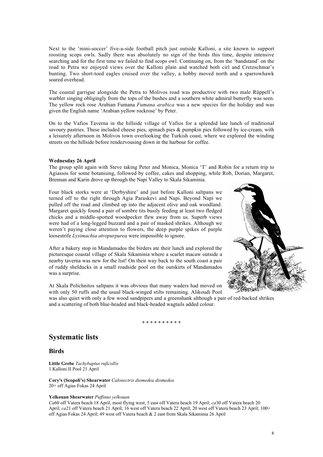Next to the 'mini-soccer' five-a-side football pitch just outside Kalloni, a site known to support roosting scops owls. Sadly there was absolutely no sign of the birds this time, despite intensive searching and for the first time we failed to find scops owl. Continuing on, from the 'bandstand' on the road to Petra we enjoyed views over the Kalloni plain and watched both cirl and Cretzschmar's bunting. Two short-toed eagles cruised over the valley, a hobby moved north and a sparrowhawk soared overhead.

The coastal garrigue alongside the Petra to Molivos road was productive with two male Rüppell's warbler singing obligingly from the tops of the bushes and a southern white admiral butterfly was seen. The yellow rock rose Arabian Fumana *Fumana arabica* was a new species for the holiday and was given the English name 'Arabian yellow rockrose' by Peter.

On to the Vafios Taverna in the hillside village of Vafios for a splendid late lunch of traditional savoury pastries. These included cheese pies, spinach pies & pumpkin pies followed by ice-cream, with a leisurely afternoon in Molivos town overlooking the Turkish coast, where we explored the winding streets on the hillside before rendezvousing down in the harbour for coffee.

# Wednesday 26 April

The group split again with Steve taking Peter and Monica, Monica 'T' and Robin for a return trip to Agiassos for some botanising, followed by coffee, cakes and shopping, while Rob, Dorian, Margaret, Brennan and Karin drove up through the Napi Valley to Skala Sikaminia.

Four black storks were at 'Derbyshire' and just before Kalloni saltpans we turned off to the right through Agia Paraskevi and Napi. Beyond Napi we pulled off the road and climbed up into the adjacent olive and oak woodland. Margaret quickly found a pair of sombre tits busily feeding at least two fledged chicks and a middle-spotted woodpecker flew away from us. Superb views were had of a long-legged buzzard and a pair of masked shrikes. Although we weren't paying close attention to flowers, the deep purple spikes of purple loosestrife *Lysimachia atropurpurea* were impossible to ignore.

After a bakery stop in Mandamados the birders ate their lunch and explored the picturesque coastal village of Skala Sikaminia where a scarlet macaw outside a nearby taverna was new for the list! On their way back to the south coast a pair of ruddy shelducks in a small roadside pool on the outskirts of Mandamados was a surprise.



At Skala Polichnitos saltpans it was obvious that many waders had moved on with only 50 ruffs and the usual black-winged stilts remaining. Alikoudi Pool

was also quiet with only a few wood sandpipers and a greenshank although a pair of red-backed shrikes and a scattering of both blue-headed and black-headed wagtails added colour.

#### \* \* \* \* \* \* \* \* \* \*

# Systematic lists

# **Birds**

Little Grebe *Tachybaptus ruficollis* 1 Kalloni II Pool 21 April

Cory's (Scopoli's) Shearwater *Calonectris diomedea diomedea* 20+ off Agias Fokas 24 April

# Yelkouan Shearwater *Puffinus yelkouan*

*Ca*60 off Vatera beach 18 April, most flying west; 5 east off Vatera beach 19 April; *ca*30 off Vatera beach 20 April; *ca*21 off Vatera beach 21 April; 16 west off Vatera beach 22 April; 20 west off Vatera beach 23 April; 100+ off Agias Fokas 24 April; 49 west off Vatera beach & 2 east from Skala Sikaminia 26 April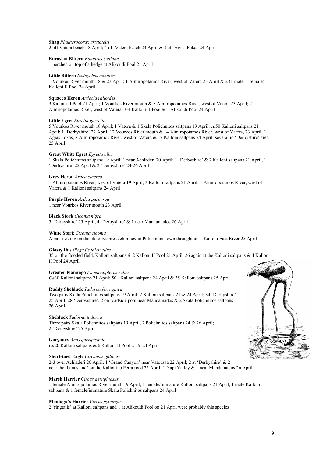Shag *Phalacrocorax aristotelis* 2 off Vatera beach 18 April; 4 off Vatera beach 23 April & 3 off Agias Fokas 24 April

Eurasian Bittern *Botaurus stellatus* 1 perched on top of a hedge at Alikoudi Pool 21 April

#### Little Bittern *Ixobtychus minutus*

1 Vourkos River mouth 18 & 23 April; 1 Almiropotamos River, west of Vatera 23 April & 2 (1 male, 1 female) Kalloni II Pool 24 April

#### Squacco Heron *Ardeola ralloides*

3 Kalloni II Pool 21 April; 1 Vourkos River mouth & 5 Almiropotamos River, west of Vatera 23 April; 2 Almiropotamos River, west of Vatera, 3-4 Kalloni II Pool & 1 Alikoudi Pool 24 April

#### Little Egret *Egretta garzetta*

5 Vourkos River mouth 18 April; 1 Vatera & 1 Skala Polichnitos saltpans 19 April; *ca*50 Kalloni saltpans 21 April; 1 'Derbyshire' 22 April; 12 Vourkos River mouth & 14 Almiropotamos River, west of Vatera, 23 April; 1 Agias Fokas, 8 Almiropotamos River, west of Vatera & 12 Kalloni saltpans 24 April; several in 'Derbyshire' area 25 April

#### Great White Egret *Egretta alba*

1 Skala Polichnitos saltpans 19 April; 1 near Achladeri 20 April; 1 'Derbyshire' & 2 Kalloni saltpans 21 April; 1 'Derbyshire' 22 April & 2 'Derbyshire' 24-26 April

#### Grey Heron *Ardea cinerea*

1 Almiropotamos River, west of Vatera 19 April; 3 Kalloni saltpans 21 April; 1 Almiropotamos River, west of Vatera & 1 Kalloni saltpans 24 April

#### Purple Heron *Ardea purpurea*

1 near Vourkos River mouth 23 April

# Black Stork *Ciconia nigra*

3 'Derbyshire' 25 April; 4 'Derbyshire' & 1 near Mandamados 26 April

#### White Stork *Ciconia ciconia*

A pair nesting on the old olive press chimney in Polichnitos town throughout; 1 Kalloni East River 25 April

# Glossy Ibis *Plegadis falcinellus*

35 on the flooded field, Kalloni saltpans & 2 Kalloni II Pool 21 April; 26 again at the Kalloni saltpans & 4 Kalloni II Pool 24 April

#### Greater Flamingo *Phoenicopterus ruber*

*Ca*30 Kalloni saltpans 21 April; 50+ Kalloni saltpans 24 April & 35 Kalloni saltpans 25 April

#### Ruddy Shelduck *Tadorna ferruginea*

Two pairs Skala Polichnitos saltpans 19 April; 2 Kalloni saltpans 21 & 24 April; 34 'Derbyshire' 25 April; 28 'Derbyshire', 2 on roadside pool near Mandamados & 2 Skala Polichnitos saltpans 26 April

# Shelduck *Tadorna tadorna*

Three pairs Skala Polichnitos saltpans 19 April; 2 Polichnitos saltpans 24 & 26 April; 2 'Derbyshire' 25 April

# Garganey *Anas querquedula*

*Ca*20 Kalloni saltpans & 6 Kalloni II Pool 21 & 24 April

# Short-toed Eagle *Circaetus gallicus*

2-3 over Achladeri 20 April; 1 'Grand Canyon' near Vatoussa 22 April; 2 at 'Derbyshire' & 2 near the 'bandstand' on the Kalloni to Petra road 25 April; 1 Napi Valley & 1 near Mandamados 26 April

#### Marsh Harrier *Circus aeruginosus*

1 female Almiropotamos River mouth 19 April; 1 female/immature Kalloni saltpans 21 April; 1 male Kalloni saltpans & 1 female/immature Skala Polichnitos saltpans 24 April

#### Montagu's Harrier *Circus pygargus*

2 'ringtails' at Kalloni saltpans and 1 at Alikoudi Pool on 21 April were probably this species

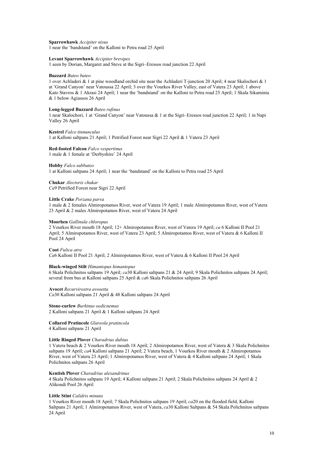Sparrowhawk *Accipiter nisus* 1 near the 'bandstand' on the Kalloni to Petra road 25 April

#### Levant Sparrowhawk *Accipiter brevipes*

1 seen by Dorian, Margaret and Steve at the Sigri–Eressos road junction 22 April

#### Buzzard *Buteo buteo*

1 over Achladeri & 1 at pine woodland orchid site near the Achladeri T-junction 20 April; 4 near Skalochori & 1 at 'Grand Canyon' near Vatoussa 22 April; 3 over the Vourkos River Valley, east of Vatera 23 April; 1 above Kato Stavros & 1 Akrasi 24 April; 1 near the 'bandstand' on the Kalloni to Petra road 25 April; 1 Skala Sikaminia & 1 below Agiassos 26 April

#### Long-legged Buzzard *Buteo rufinus*

1 near Skalochori, 1 at 'Grand Canyon' near Vatoussa & 1 at the Sigri–Eressos road junction 22 April; 1 in Napi Valley 26 April

Kestrel *Falco tinnunculus* 1 at Kalloni saltpans 21 April; 1 Petrified Forest near Sigri 22 April & 1 Vatera 23 April

Red-footed Falcon *Falco vespertinus* 1 male & 1 female at 'Derbyshire' 24 April

#### Hobby *Falco subbuteo*

1 at Kalloni saltpans 24 April; 1 near the 'bandstand' on the Kalloni to Petra road 25 April

Chukar *Alectoris chukar Ca*9 Petrified Forest near Sigri 22 April

#### Little Crake *Porzana parva*

1 male & 2 females Almiropotamos River, west of Vatera 19 April; 1 male Almiropotamos River, west of Vatera 23 April & 2 males Almiropotamos River, west of Vatera 24 April

#### Moorhen *Gallinula chloropus*

2 Vourkos River mouth 18 April; 12+ Almiropotamos River, west of Vatera 19 April; *ca* 6 Kalloni II Pool 21 April; 5 Almiropotamos River, west of Vatera 23 April; 5 Almiropotamos River, west of Vatera & 6 Kalloni II Pool 24 April

Coot *Fulica atra*

*Ca*6 Kalloni II Pool 21 April; 2 Almiropotamos River, west of Vatera & 6 Kalloni II Pool 24 April

#### Black-winged Stilt *Himantopus himantopus*

6 Skala Polichnitos saltpans 19 April; *ca*30 Kalloni saltpans 21 & 24 April; 9 Skala Polichnitos saltpans 24 April; several from bus at Kalloni saltpans 25 April & *ca*6 Skala Polichnitos saltpans 26 April

Avocet *Recurvirostra avosetta Ca*30 Kalloni saltpans 21 April & 48 Kalloni saltpans 24 April

Stone-curlew *Burhinus oedicnemus* 2 Kalloni saltpans 21 April & 1 Kalloni saltpans 24 April

Collared Pratincole *Glareola pratincola* 4 Kalloni saltpans 21 April

# Little Ringed Plover *Charadrius dubius*

1 Vatera beach & 2 Vourkos River mouth 18 April; 2 Almiropotamos River, west of Vatera & 3 Skala Polichnitos saltpans 19 April; *ca*4 Kalloni saltpans 21 April; 2 Vatera beach, 1 Vourkos River mouth & 2 Almiropotamos River, west of Vatera 23 April; 1 Almiropotamos River, west of Vatera & 4 Kalloni saltpans 24 April; 1 Skala Polichnitos saltpans 26 April

Kentish Plover *Charadrius alexandrinus*

4 Skala Polichnitos saltpans 19 April; 4 Kalloni saltpans 21 April; 2 Skala Polichnitos saltpans 24 April & 2 Alikoudi Pool 26 April

#### Little Stint *Calidris minuta*

1 Vourkos River mouth 18 April; 7 Skala Polichnitos saltpans 19 April; *ca*20 on the flooded field, Kalloni Saltpans 21 April; 1 Almiropotamos River, west of Vatera, *ca*30 Kalloni Saltpans & 54 Skala Polichnitos saltpans 24 April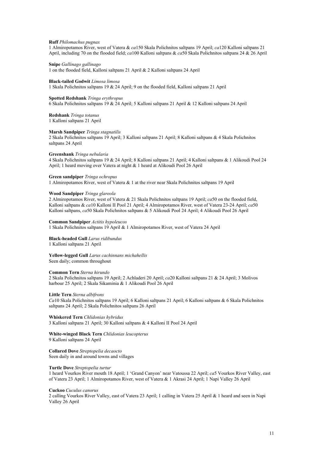#### Ruff *Philomachus pugnax*

1 Almiropotamos River, west of Vatera & *ca*150 Skala Polichnitos saltpans 19 April; *ca*120 Kalloni saltpans 21 April, including 70 on the flooded field; *ca*100 Kalloni saltpans & *ca*50 Skala Polichnitos saltpans 24 & 26 April

#### Snipe *Gallinago gallinago*

1 on the flooded field, Kalloni saltpans 21 April & 2 Kalloni saltpans 24 April

#### Black-tailed Godwit *Limosa limosa*

1 Skala Polichnitos saltpans 19 & 24 April; 9 on the flooded field, Kalloni saltpans 21 April

#### Spotted Redshank *Tringa erythropus*

6 Skala Polichnitos saltpans 19 & 24 April; 5 Kalloni saltpans 21 April & 12 Kalloni saltpans 24 April

Redshank *Tringa totanus* 1 Kalloni saltpans 21 April

#### Marsh Sandpiper *Tringa stagnatilis*

2 Skala Polichnitos saltpans 19 April; 3 Kalloni saltpans 21 April; 8 Kalloni saltpans & 4 Skala Polichnitos saltpans 24 April

#### Greenshank *Tringa nebularia*

4 Skala Polichnitos saltpans 19 & 24 April; 8 Kalloni saltpans 21 April; 4 Kalloni saltpans & 1 Alikoudi Pool 24 April; 1 heard moving over Vatera at night & 1 heard at Alikoudi Pool 26 April

#### Green sandpiper *Tringa ochropus*

1 Almiropotamos River, west of Vatera & 1 at the river near Skala Polichnitos saltpans 19 April

#### Wood Sandpiper *Tringa glareola*

2 Almiropotamos River, west of Vatera & 21 Skala Polichnitos saltpans 19 April; *ca*50 on the flooded field, Kalloni saltpans & *ca*10 Kalloni II Pool 21 April; 4 Almiropotamos River, west of Vatera 23-24 April; *ca*50 Kalloni saltpans, *ca*50 Skala Polichnitos saltpans & 5 Alikoudi Pool 24 April; 4 Alikoudi Pool 26 April

#### Common Sandpiper *Actitis hypoleucos*

1 Skala Polichnitos saltpans 19 April & 1 Almiropotamos River, west of Vatera 24 April

Black-headed Gull *Larus ridibundus* 1 Kalloni saltpans 21 April

Yellow-legged Gull *Larus cachinnans michahellis* Seen daily; common throughout

#### Common Tern *Sterna hirundo*

2 Skala Polichnitos saltpans 19 April; 2 Achladeri 20 April; *ca*20 Kalloni saltpans 21 & 24 April; 3 Molivos harbour 25 April; 2 Skala Sikaminia & 1 Alikoudi Pool 26 April

#### Little Tern *Sterna albifrons*

*Ca*10 Skala Polichnitos saltpans 19 April; 6 Kalloni saltpans 21 April; 6 Kalloni saltpans & 6 Skala Polichnitos saltpans 24 April; 2 Skala Polichnitos saltpans 26 April

Whiskered Tern *Chlidonias hybridus* 3 Kalloni saltpans 21 April; 30 Kalloni saltpans & 4 Kalloni II Pool 24 April

White-winged Black Tern *Chlidonias leucopterus* 9 Kalloni saltpans 24 April

Collared Dove *Streptopelia decaocto* Seen daily in and around towns and villages

## Turtle Dove *Streptopelia turtur*

1 heard Vourkos River mouth 18 April; 1 'Grand Canyon' near Vatoussa 22 April; *ca*5 Vourkos River Valley, east of Vatera 23 April; 1 Almiropotamos River, west of Vatera & 1 Akrasi 24 April; 1 Napi Valley 26 April

#### Cuckoo *Cuculus canorus*

2 calling Vourkos River Valley, east of Vatera 23 April; 1 calling in Vatera 25 April & 1 heard and seen in Napi Valley 26 April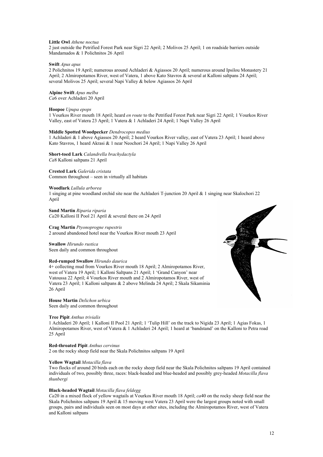#### Little Owl *Athene noctua*

2 just outside the Petrified Forest Park near Sigri 22 April; 2 Molivos 25 April; 1 on roadside barriers outside Mandamados & 1 Polichnitos 26 April

#### Swift *Apus apus*

2 Polichnitos 19 April; numerous around Achladeri & Agiassos 20 April; numerous around Ipsilou Monastery 21 April; 2 Almiropotamos River, west of Vatera, 1 above Kato Stavros & several at Kalloni saltpans 24 April; several Molivos 25 April; several Napi Valley & below Agiassos 26 April

# Alpine Swift *Apus melba*

*Ca*6 over Achladeri 20 April

#### Hoopoe *Upupa epops*

1 Vourkos River mouth 18 April; heard *en route* to the Petrified Forest Park near Sigri 22 April; 1 Vourkos River Valley, east of Vatera 23 April; 1 Vatera & 1 Achladeri 24 April; 1 Napi Valley 26 April

#### Middle Spotted Woodpecker *Dendrocopos medius*

1 Achladeri & 1 above Agiassos 20 April; 2 heard Vourkos River valley, east of Vatera 23 April; 1 heard above Kato Stavros, 1 heard Akrasi & 1 near Neochori 24 April; 1 Napi Valley 26 April

Short-toed Lark *Calandrella brachydactyla Ca*8 Kalloni saltpans 21 April

# Crested Lark *Galerida cristata*

Common throughout – seen in virtually all habitats

#### Woodlark *Lullula arborea*

1 singing at pine woodland orchid site near the Achladeri T-junction 20 April & 1 singing near Skalochori 22 April

Sand Martin *Riparia riparia Ca*20 Kalloni II Pool 21 April & several there on 24 April

Crag Martin *Ptyonoprogne rupestris* 2 around abandoned hotel near the Vourkos River mouth 23 April

Swallow *Hirundo rustica* Seen daily and common throughout

#### Red-rumped Swallow *Hirundo daurica*

4+ collecting mud from Vourkos River mouth 18 April; 2 Almiropotamos River, west of Vatera 19 April; 1 Kalloni Saltpans 21 April; 1 'Grand Canyon' near Vatoussa 22 April; 4 Vourkos River mouth and 2 Almiropotamos River, west of Vatera 23 April; 1 Kalloni saltpans & 2 above Melinda 24 April; 2 Skala Sikaminia 26 April

House Martin *Delichon urbica* Seen daily and common throughout

#### Tree Pipit *Anthus trivialis*

1 Achladeri 20 April; 1 Kalloni II Pool 21 April; 1 'Tulip Hill' on the track to Nigida 23 April; 1 Agias Fokas, 1 Almiropotamos River, west of Vatera & 1 Achladeri 24 April; 1 heard at 'bandstand' on the Kalloni to Petra road 25 April

#### Red-throated Pipit *Anthus cervinus*

2 on the rocky sheep field near the Skala Polichnitos saltpans 19 April

#### Yellow Wagtail *Motacilla flava*

Two flocks of around 20 birds each on the rocky sheep field near the Skala Polichnitos saltpans 19 April contained individuals of two, possibly three, races: black-headed and blue-headed and possibly grey-headed *Motacilla flava thunbergi*

#### Black-headed Wagtail *Motacilla flava feldegg*

*Ca*20 in a mixed flock of yellow wagtails at Vourkos River mouth 18 April; *ca*40 on the rocky sheep field near the Skala Polichnitos saltpans 19 April & 15 moving west Vatera 23 April were the largest groups noted with small groups, pairs and individuals seen on most days at other sites, including the Almiropotamos River, west of Vatera and Kalloni saltpans

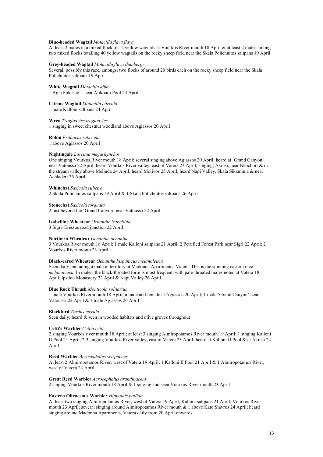#### Blue-headed Wagtail *Motacilla flava flava*

At least 2 males in a mixed flock of 12 yellow wagtails at Vourkos River mouth 18 April & at least 2 males among two mixed flocks totalling 40 yellow wagtails on the rocky sheep field near the Skala Polichnitos saltpans 19 April

#### Grey-headed Wagtail *Motacilla flava thunbergi*

Several, possibly this race, amongst two flocks of around 20 birds each on the rocky sheep field near the Skala Polichnitos saltpans 19 April

White Wagtail *Motacilla alba* 1 Agia Fokas & 1 near Alikoudi Pool 24 April

Citrine Wagtail *Motacilla citreola* 1 male Kalloni saltpans 24 April

Wren *Troglodytes troglodytes* 1 singing in sweet chestnut woodland above Agiassos 20 April

Robin *Erithacus rubecula* 1 above Agiassos 20 April

#### Nightingale *Luscinia megarhynchos*

One singing Vourkos River mouth 18 April; several singing above Agiassos 20 April; heard at 'Grand Canyon' near Vatoussa 22 April; heard Vourkos River valley, east of Vatera 23 April; singing, Akrasi, near Neochori & in the stream valley above Melinda 24 April; heard Molivos 25 April; heard Napi Valley, Skala Sikaminia & near Achladeri 26 April

Whinchat *Saxicola rubetra*

2 Skala Polichnitos saltpans 19 April & 1 Skala Polichnitos saltpans 26 April

Stonechat *Saxicola torquata*

2 just beyond the 'Grand Canyon' near Vatoussa 22 April

Isabelline Wheatear *Oenanthe isabellina* 3 Sigri–Eressos road junction 22 April

# Northern Wheatear *Oenanthe oenanthe*

3 Vourkos River mouth 18 April; 1 male Kalloni saltpans 21 April; 2 Petrified Forest Park near Sigri 22 April; 2 Vourkos River mouth 23 April

#### Black-eared Wheatear *Oenanthe hispanicus melanoleuca*

Seen daily, including a male in territory at Madonna Apartments, Vatera. This is the stunning eastern race *melanoleuca*. In males, the black-throated form is most frequent, with pale-throated males noted at Vatera 18 April, Ipsilou Monastery 22 April & Napi Valley 26 April

# Blue Rock Thrush *Monticola solitarius*

1 male Vourkos River mouth 18 April; a male and female at Agiassos 20 April; 1 male 'Grand Canyon' near Vatoussa 22 April & 1 male Agiassos 26 April

#### Blackbird *Turdus merula*

Seen daily; heard & seen in wooded habitats and olive groves throughout

#### Cetti's Warbler *Cettia cetti*

2 singing Vourkos river mouth 18 April; at least 3 singing Almiropotamos River mouth 19 April; 1 singing Kalloni II Pool 21 April; 2-3 singing Vourkos River valley, east of Vatera 23 April; heard at Kalloni II Pool & at Akrasi 24 April

#### Reed Warbler *Acrocephalus scirpaceus*

At least 2 Almiropotamos River, west of Vatera 19 April; 1 Kalloni II Pool 21 April & 1 Almiropotamos River, west of Vatera 24 April

Great Reed Warbler *Acrocephalus arundinaceus*

2 singing Vourkos River mouth 18 April & 1 singing and seen Vourkos River mouth 23 April

### Eastern Olivaceous Warbler *Hippolais pallida*

At least two singing Almiropotamos River, west of Vatera 19 April; Kalloni saltpans 21 April; Vourkos River mouth 23 April; several singing around Almiropotamos River mouth & 1 above Kato Stavros 24 April; heard singing around Madonna Apartments, Vatera daily from 20 April onwards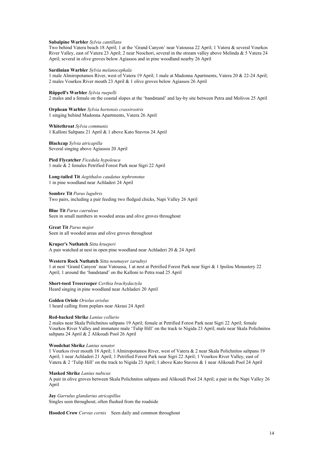#### Subalpine Warbler *Sylvia cantillans*

Two behind Vatera beach 18 April; 1 at the 'Grand Canyon' near Vatoussa 22 April; 1 Vatera & several Vourkos River Valley, east of Vatera 23 April; 2 near Neochori, several in the stream valley above Melinda & 5 Vatera 24 April; several in olive groves below Agiassos and in pine woodland nearby 26 April

#### Sardinian Warbler *Sylvia melanocephala*

1 male Almiropotamos River, west of Vatera 19 April; 1 male at Madonna Apartments, Vatera 20 & 22-24 April; 2 males Vourkos River mouth 23 April & 1 olive groves below Agiassos 26 April

#### Rüppell's Warbler *Sylvia ruepelli*

2 males and a female on the coastal slopes at the 'bandstand' and lay-by site between Petra and Molivos 25 April

Orphean Warbler *Sylvia hortensis crassirostris* 1 singing behind Madonna Apartments, Vatera 26 April

Whitethroat *Sylvia communis* 1 Kalloni Saltpans 21 April & 1 above Kato Stavros 24 April

#### Blackcap *Sylvia atricapilla* Several singing above Agiassos 20 April

Pied Flycatcher *Ficedula hypoleuca* 1 male & 2 females Petrified Forest Park near Sigri 22 April

Long-tailed Tit *Aegithalos caudatus tephronotus* 1 in pine woodland near Achladeri 24 April

#### Sombre Tit *Parus lugubris* Two pairs, including a pair feeding two fledged chicks, Napi Valley 26 April

Blue Tit *Parus caeruleus* Seen in small numbers in wooded areas and olive groves throughout

Great Tit *Parus major* Seen in all wooded areas and olive groves throughout

#### Kruper's Nuthatch *Sitta krueperi*

A pair watched at nest in open pine woodland near Achladeri 20 & 24 April

#### Western Rock Nuthatch *Sitta neumayer zarudnyi*

1 at nest 'Grand Canyon' near Vatoussa, 1 at nest at Petrified Forest Park near Sigri & 1 Ipsilou Monastery 22 April; 1 around the 'bandstand' on the Kalloni to Petra road 25 April

Short-toed Treecreeper *Certhia brachydactyla* Heard singing in pine woodland near Achladeri 20 April

Golden Oriole *Oriolus oriolus* 1 heard calling from poplars near Akrasi 24 April

#### Red-backed Shrike *Lanius collurio*

2 males near Skala Polichnitos saltpans 19 April; female at Petrified Forest Park near Sigri 22 April; female Vourkos River Valley and immature male 'Tulip Hill' on the track to Nigida 23 April; male near Skala Polichnitos saltpans 24 April & 2 Alikoudi Pool 26 April

#### Woodchat Shrike *Lanius senator*

1 Vourkos river mouth 18 April; 1 Almiropotamos River, west of Vatera & 2 near Skala Polichnitos saltpans 19 April; 1 near Achladeri 21 April; 1 Petrified Forest Park near Sigri 22 April; 1 Vourkos River Valley, east of Vatera & 2 'Tulip Hill' on the track to Nigida 23 April; 1 above Kato Stavros & 1 near Alikoudi Pool 24 April

#### Masked Shrike *Lanius nubicus*

A pair in olive groves between Skala Polichnitos saltpans and Alikoudi Pool 24 April; a pair in the Napi Valley 26 April

Jay *Garrulus glandarius atricapillus*

Singles seen throughout; often flushed from the roadside

Hooded Crow *Corvus cornix* Seen daily and common throughout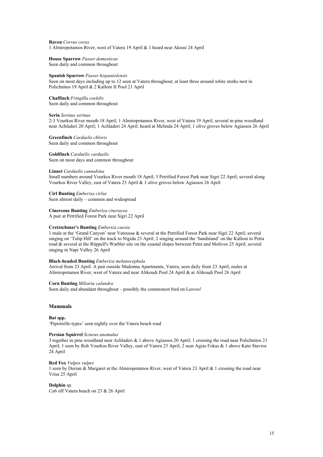Raven *Corvus corax* 1 Almiropotamos River, west of Vatera 19 April & 1 heard near Akrasi 24 April

House Sparrow *Passer domesticus* Seen daily and common throughout

#### Spanish Sparrow *Passer hispaniolensis*

Seen on most days including up to 12 seen at Vatera throughout; at least three around white storks nest in Polichnitos 19 April & 2 Kalloni II Pool 21 April

Chaffinch *Fringilla coelebs* Seen daily and common throughout

#### Serin *Serinus serinus*

2-3 Vourkos River mouth 18 April; 1 Almiropotamos River, west of Vatera 19 April; several in pine woodland near Achladeri 20 April; 1 Achladeri 24 April; heard at Melinda 24 April; 1 olive groves below Agiassos 26 April

Greenfinch *Carduelis chloris* Seen daily and common throughout

Goldfinch *Carduelis carduelis* Seen on most days and common throughout

#### Linnet *Carduelis cannabina*

Small numbers around Vourkos River mouth 18 April; 3 Petrified Forest Park near Sigri 22 April; several along Vourkos River Valley, east of Vatera 23 April & 1 olive groves below Agiassos 26 April

Cirl Bunting *Emberiza cirlus* Seen almost daily – common and widespread

Cinereous Bunting *Emberiza cineracea*

A pair at Petrified Forest Park near Sigri 22 April

#### Cretzschmar's Bunting *Emberiza caesia*

1 male at the 'Grand Canyon' near Vatoussa & several at the Petrified Forest Park near Sigri 22 April; several singing on 'Tulip Hill' on the track to Nigida 23 April; 2 singing around the 'bandstand' on the Kalloni to Petra road & several at the Rüppell's Warbler site on the coastal slopes between Petra and Molivos 25 April; several singing in Napi Valley 26 April

#### Black-headed Bunting *Emberiza melanocephala*

Arrival from 23 April. A pair outside Madonna Apartments, Vatera, seen daily from 23 April; males at Almiropotamos River, west of Vatera and near Alikoudi Pool 24 April & at Alikoudi Pool 26 April

#### Corn Bunting *Miliaria calandra*

Seen daily and abundant throughout – possibly the commonest bird on Lesvos!

# Mammals

#### Bat spp.

'Pipistrelle-types' seen nightly over the Vatera beach road

#### Persian Squirrel *Sciurus anomalus*

3 together in pine woodland near Achladeri & 1 above Agiassos 20 April; 1 crossing the road near Polichnitos 21 April; 1 seen by Rob Vourkos River Valley, east of Vatera 23 April; 2 near Agias Fokas & 1 above Kato Stavros 24 April

#### Red Fox *Vulpes vulpes*

1 seen by Dorian & Margaret at the Almiropotamos River, west of Vatera 23 April & 1 crossing the road near Vrisa 25 April

#### Dolphin sp.

*Ca*6 off Vatera beach on 23 & 26 April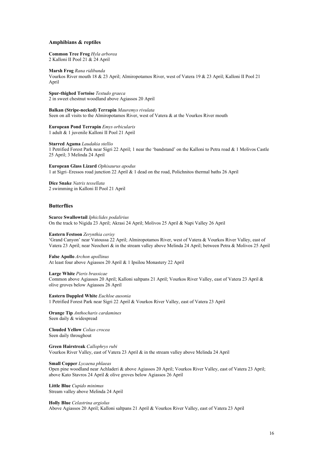#### Amphibians & reptiles

Common Tree Frog *Hyla arborea* 2 Kalloni II Pool 21 & 24 April

Marsh Frog *Rana ridibunda* Vourkos River mouth 18 & 23 April; Almiropotamos River, west of Vatera 19 & 23 April; Kalloni II Pool 21 April

Spur-thighed Tortoise *Testudo graeca* 2 in sweet chestnut woodland above Agiassos 20 April

Balkan (Stripe-necked) Terrapin *Mauremys rivulata* Seen on all visits to the Almiropotamos River, west of Vatera & at the Vourkos River mouth

European Pond Terrapin *Emys orbicularis* 1 adult & 1 juvenile Kalloni II Pool 21 April

Starred Agama *Laudakia stellio* 1 Petrified Forest Park near Sigri 22 April; 1 near the 'bandstand' on the Kalloni to Petra road & 1 Molivos Castle 25 April; 3 Melinda 24 April

European Glass Lizard *Ophisaurus apodus* 1 at Sigri–Eressos road junction 22 April & 1 dead on the road, Polichnitos thermal baths 26 April

Dice Snake *Natrix tessellata* 2 swimming in Kalloni II Pool 21 April

# **Butterflies**

Scarce Swallowtail *Iphiclides podalirius* On the track to Nigida 23 April; Akrasi 24 April; Molivos 25 April & Napi Valley 26 April

#### Eastern Festoon *Zerynthia cerisy*

'Grand Canyon' near Vatoussa 22 April; Almiropotamos River, west of Vatera & Vourkos River Valley, east of Vatera 23 April; near Neochori & in the stream valley above Melinda 24 April; between Petra & Molivos 25 April

False Apollo *Archon apollinus* At least four above Agiassos 20 April & 1 Ipsilou Monastery 22 April

Large White *Pieris brassicae*

Common above Agiassos 20 April; Kalloni saltpans 21 April; Vourkos River Valley, east of Vatera 23 April & olive groves below Agiassos 26 April

Eastern Dappled White *Euchloe ausonia* 1 Petrified Forest Park near Sigri 22 April & Vourkos River Valley, east of Vatera 23 April

Orange Tip *Anthocharis cardamines* Seen daily & widespread

Clouded Yellow *Colias crocea* Seen daily throughout

Green Hairstreak *Callophrys rubi* Vourkos River Valley, east of Vatera 23 April & in the stream valley above Melinda 24 April

Small Copper *Lycaena phlaeas*

Open pine woodland near Achladeri & above Agiassos 20 April; Vourkos River Valley, east of Vatera 23 April; above Kato Stavros 24 April & olive groves below Agiassos 26 April

Little Blue *Cupido minimus* Stream valley above Melinda 24 April

Holly Blue *Celastrina argiolus* Above Agiassos 20 April; Kalloni saltpans 21 April & Vourkos River Valley, east of Vatera 23 April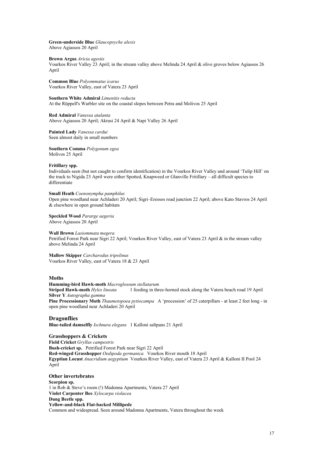Green-underside Blue *Glaucopsyche alexis* Above Agiassos 20 April

#### Brown Argus *Aricia agestis*

Vourkos River Valley 23 April; in the stream valley above Melinda 24 April & olive groves below Agiassos 26 April

Common Blue *Polyommatus icarus* Vourkos River Valley, east of Vatera 23 April

Southern White Admiral *Limenitis reducta* At the Rüppell's Warbler site on the coastal slopes between Petra and Molivos 25 April

Red Admiral *Vanessa atalanta* Above Agiassos 20 April; Akrasi 24 April & Napi Valley 26 April

Painted Lady *Vanessa cardui* Seen almost daily in small numbers

Southern Comma *Polygonum egea* Molivos 25 April

#### Fritillary spp.

Individuals seen (but not caught to confirm identification) in the Vourkos River Valley and around 'Tulip Hill' on the track to Nigida 23 April were either Spotted, Knapweed or Glanville Fritillary – all difficult species to differentiate

# Small Heath *Coenonympha pamphilus*

Open pine woodland near Achladeri 20 April; Sigri–Eressos road junction 22 April; above Kato Stavros 24 April & elsewhere in open ground habitats

Speckled Wood *Pararge aegeria* Above Agiassos 20 April

# Wall Brown *Lasiommata megera*

Petrified Forest Park near Sigri 22 April; Vourkos River Valley, east of Vatera 23 April & in the stream valley above Melinda 24 April

Mallow Skipper *Carcharodus tripolinus* Vourkos River Valley, east of Vatera 18 & 23 April

# Moths

# Humming-bird Hawk-moth *Macroglossum stellatarum*

Striped Hawk-moth *Hyles lineata* 1 feeding in three-horned stock along the Vatera beach road 19 April Silver Y *Autographa gamma*

Pine Processionary Moth *Thaumetopoea pytiocampa* A 'procession' of 25 caterpillars - at least 2 feet long - in open pine woodland near Achladeri 20 April

# **Dragonflies**

Blue-tailed damselfly *Ischnura elegans* 1 Kalloni saltpans 21 April

# Grasshoppers & Crickets

Field Cricket *Gryllus campestris* Bush-cricket sp. Petrified Forest Park near Sigri 22 April Red-winged Grasshopper *Oedipoda germanica* Vourkos River mouth 18 April Egyptian Locust *Anacridium aegyptium* Vourkos River Valley, east of Vatera 23 April & Kalloni II Pool 24 April

# Other invertebrates

Scorpion sp. 1 in Rob & Steve's room (!) Madonna Apartments, Vatera 27 April Violet Carpenter Bee *Xylocarpa violacea* Dung Beetle spp. Yellow-and-black Flat-backed Millipede Common and widespread. Seen around Madonna Apartments, Vatera throughout the week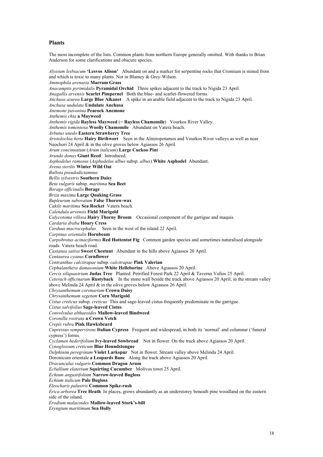# Plants

Anderson for some clarifications and obscure species. *Alyssum lesbiacum* 'Lesvos Alison' Abundant on and a marker for serpentine rocks that Cromium is mined from and which is toxic to many plants. Not in Blamey & Grey-Wilson. *Ammophila arenaria* Marram Grass *Anacamptis pyrimidalis* Pyramidal Orchid Three spikes adjacent to the track to Nigida 23 April. *Anagallis arvensis* Scarlet Pimpernel Both the blue- and scarlet-flowered forms. *Anchusa azurea* Large Blue Alkanet A spike in an arable field adjacent to the track to Nigida 23 April. *Anchusa undulata* Undulate Anchusa *Anemone pavonina* Peacock Anemone *Anthemis chia* a Mayweed *Anthemis rigida* Rayless Mayweed (= Rayless Chamomile) Vourkos River Valley. *Anthemis tomentosa* Woolly Chamomile Abundant on Vatera beach. *Arbutus unedo* Eastern Strawberry Tree *Aristolochia hirta* Hairy Birthwort Seen in the Almiropotamos and Vourkos River valleys as well as near Neochori 24 April & in the olive groves below Agiassos 26 April. *Arum concinnatum* (*Arum italicum*) Large Cuckoo Pint *Arundo donax* Giant Reed Introduced. *Asphodelus ramosus* (*Asphodelus albus* subsp. *albus*) White Asphodel Abundant. *Avena sterilis* Winter Wild Oat *Ballota pseudodictamnus Bellis sylvestris* Southern Daisy *Beta vulgaris* subsp. *maritima* Sea Beet *Borago officinalis* Borage *Briza maxima* Large Quaking Grass *Bupleurum subovatum* False Thorow-wax *Cakile maritima* Sea Rocket Vatera beach. *Calendula arvensis* Field Marigold *Calycotoma villosa* Hairy Thorny Broom Occasional component of the garrigue and maquis. *Cardaria draba* Hoary Cress *Carduus macrocephalus* Seen in the west of the island 22 April. *Carpinus orientalis* Hornbeam *Carpobrotus acinaciformis* Red Hottentot Fig Common garden species and sometimes naturalised alongside roads. Vatera beach road. *Castanea sativa* Sweet Chestnut Abundant in the hills above Agiassos 20 April. *Centaurea cyanus* Cornflower *Centranthus calcitrapae* subsp. *calcitrapae* Pink Valerian *Cephalanthera damasonium* White Helleborine Above Agiassos 20 April. *Cercis siliquastrium* Judas Tree Planted. Petrified Forest Park 22 April & Taverna Vafios 25 April. *Ceterach officinarum* Rustyback In the stone wall beside the track above Agiassos 20 April; in the stream valley above Melinda 24 April & in the olive groves below Agiassos 26 April. *Chrysanthemum coronarium* Crown Daisy *Chrysanthemum segetum* Corn Marigold *Cistus creticus* subsp. *creticus* This and sage-leaved cistus frequently predominate in the garrigue. *Cistus salvifolius* Sage-leaved Cistus *Convolvulus althaeoides* Mallow-leaved Bindweed *Coronilla rostrata* a Crown Vetch *Crepis rubra* Pink Hawksbeard *Cupressus sempervirens* Italian Cypress Frequent and widespread, in both its 'normal' and columnar ('funeral cypress') forms. *Cyclamen hederifolium* Ivy-leaved Sowbread Not in flower. On the track above Agiassos 20 April. *Cynoglossum creticum* Blue Houndstongue *Delphinim peregrinum* Violet Larkspur<sup>7</sup> Not in flower. Stream valley above Melinda 24 April. Doronicum orientale a Leopards Bane Along the track above Agiassos 20 April. *Dracunculus vulgaris* Common Dragon Arum *Ecballium elaterium* Squirting Cucumber Molivos town 25 April. *Echium angustifolium* Narrow-leaved Bugloss *Echium italicum* Pale Bugloss *Eleocharis palustris* Common Spike-rush *Erica arborea* Tree Heath In places, grows abundantly as an understorey beneath pine woodland on the eastern side of the island. *Erodium malacoides* Mallow-leaved Stork's-bill *Eryngium maritimum* Sea Holly

The most incomplete of the lists. Common plants from northern Europe generally omitted. With thanks to Brian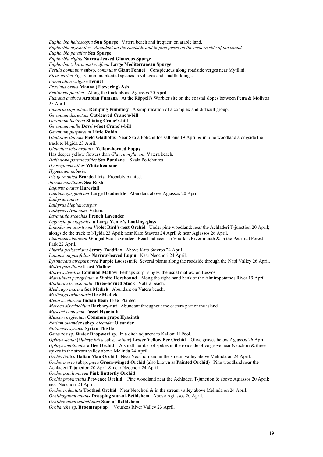*Euphorbia helioscopia* Sun Spurge Vatera beach and frequent on arable land. *Euphorbia myrsinites Abundant on the roadside and in pine forest on the eastern side of the island. Euphorbia paralias* Sea Spurge *Euphorbia rigida* Narrow-leaved Glaucous Spurge *Euphorbia* (*characias) wulfenii* Large Mediterranean Spurge *Ferula communis* subsp. *communis* Giant Fennel Conspicuous along roadside verges near Mytilini. *Ficus carica* Fig Common, planted species in villages and smallholdings. *Foeniculum vulgare* Fennel *Fraxinus ornus* Manna (Flowering) Ash *Fritillaria pontica* Along the track above Agiassos 20 April. *Fumana arabica* Arabian Fumana At the Rüppell's Warbler site on the coastal slopes between Petra & Molivos 25 April. *Fumaria capreolata* Ramping Fumitory A simplification of a complex and difficult group. *Geranium dissectum* Cut-leaved Crane's-bill *Geranium lucidum* Shining Crane's-bill *Geranium molle* Dove's-foot Crane's-bill *Geranium purpureum* Little Robin *Gladiolus italicus* Field Gladiolus Near Skala Polichnitos saltpans 19 April & in pine woodland alongside the track to Nigida 23 April. *Glaucium leiocarpum* a Yellow-horned Poppy Has deeper yellow flowers than *Glaucium flavum*. Vatera beach. *Halimione portulacoides* Sea Purslane Skala Polichnitos. *Hyoscyamus albus* White henbane *Hypecoum imberbe Iris germanica* Bearded Iris Probably planted. *Juncus maritimus* Sea Rush *Lagurus ovatus* Harestail *Lamium garganicum* Large Deadnettle Abundant above Agiassos 20 April. *Lathyrus anuus Lathyrus blepharicarpus Lathyrus clymenum* Vatera. *Lavandula stoechas* French Lavender *Legousia pentagonica* a Large Venus's Looking-glass *Limodorum abortivum* Violet Bird's-nest Orchid Under pine woodland: near the Achladeri T-junction 20 April; alongside the track to Nigida 23 April; near Kato Stavros 24 April & near Agiassos 26 April. *Limonium sinuatum* Winged Sea Lavender Beach adjacent to Vourkos River mouth & in the Petrified Forest Park 22 April. *Linaria pelisseriana* Jersey Toadflax Above Kato Stavros 24 April. *Lupinus angustifolius* Narrow-leaved Lupin Near Neochori 24 April. *Lysimachia atropurpurea* Purple Loosestrife Several plants along the roadside through the Napi Valley 26 April. *Malva parviflora* Least Mallow *Malva sylvestris* Common Mallow Perhaps surprisingly, the usual mallow on Lesvos. *Marrubium peregrinum* a White Horehound Along the right-hand bank of the Almiropotamos River 19 April. *Matthiola tricuspidata* Three-horned Stock Vatera beach. *Medicago marina* Sea Medick Abundant on Vatera beach. *Medicago orbicularis* Disc Medick *Melia azedarach* Indian Bean TreePlanted *Moraea sisyrinchium* Barbary-nut Abundant throughout the eastern part of the island. *Muscari comosum* Tassel Hyacinth *Muscari neglectum* Common grape Hyacinth *Nerium oleander* subsp. *oleander* Oleander *Notobasis syriaca* Syrian Thistle *Oenanthe* sp. Water Dropwort sp. In a ditch adjacent to Kalloni II Pool. *Ophrys sicula* (*Ophrys lutea* subsp. *minor*) Lesser Yellow Bee Orchid Olive groves below Agiassos 26 April. *Ophrys umbilicata* a Bee Orchid A small number of spikes in the roadside olive grove near Neochori & three spikes in the stream valley above Melinda 24 April. *Orchis italica* Italian Man Orchid Near Neochori and in the stream valley above Melinda on 24 April. *Orchis morio* subsp. *picta* Green-winged Orchid (also known as Painted Orchid) Pine woodland near the Achladeri T-junction 20 April & near Neochori 24 April. *Orchis papilionacea* Pink Butterfly Orchid *Orchis provincialis* Provence Orchid Pine woodland near the Achladeri T-junction & above Agiassos 20 April; near Neochori 24 April. *Orchis tridentata* Toothed Orchid Near Neochori & in the stream valley above Melinda on 24 April. *Ornithogalum nutans* Drooping star-of-Bethlehem Above Agiassos 20 April. *Ornithogalum umbellatum* Star-of-Bethlehem *Orobanche* sp. Broomrape sp. Vourkos River Valley 23 April.